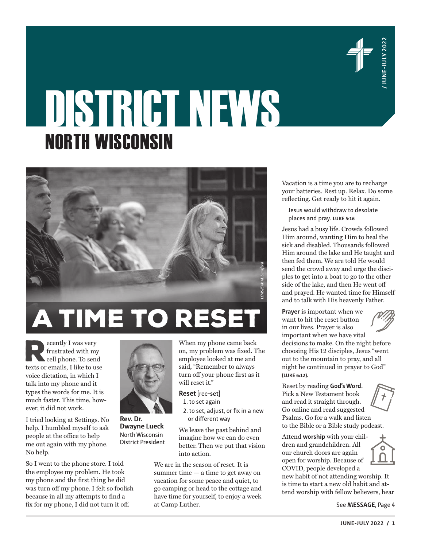

# DISTRICT NEWS NORTH WISCONSIN



**Example 1** was very frustrated with my cell phone. To send texts or emails, I like to use frustrated with my cell phone. To send voice dictation, in which I talk into my phone and it types the words for me. It is much faster. This time, however, it did not work.

I tried looking at Settings. No help. I humbled myself to ask people at the office to help me out again with my phone. No help.

So I went to the phone store. I told the employee my problem. He took my phone and the first thing he did was turn off my phone. I felt so foolish because in all my attempts to find a fix for my phone, I did not turn it off.



When my phone came back on, my problem was fixed. The employee looked at me and said, "Remember to always turn off your phone first as it will reset it." **Reset** [ree-**set**]

1. to set again

2. to set, adjust, or fix in a new or different way

We leave the past behind and imagine how we can do even better. Then we put that vision into action.

We are in the season of reset. It is summer time — a time to get away on vacation for some peace and quiet, to go camping or head to the cottage and have time for yourself, to enjoy a week at Camp Luther.

Vacation is a time you are to recharge your batteries. Rest up. Relax. Do some reflecting. Get ready to hit it again.

Jesus would withdraw to desolate places and pray. **LUKE 5:16**

**JUNE-JULY 2022** / 1<br> **JUNE-JULY 2022**<br> **JUNE-JULY 2022**<br> **JUNE-JULY 2022**<br> **JUNE-JULY 2022**<br> **JUNE-JULY 2022**<br> **JUNE-JULY 2022**<br> **JUNE-JULY 2022**<br> **JUNE-JULY 2022**<br> **JUNE-JULY 2022**<br> **JUNE-JULY 2022**<br> **JUNE-JULY 2022**<br> **J** Jesus had a busy life. Crowds followed Him around, wanting Him to heal the sick and disabled. Thousands followed Him around the lake and He taught and then fed them. We are told He would send the crowd away and urge the disciples to get into a boat to go to the other side of the lake, and then He went off and prayed. He wanted time for Himself and to talk with His heavenly Father.

**Prayer** is important when we want to hit the reset button in our lives. Prayer is also important when we have vital decisions to make. On the night before choosing His 12 disciples, Jesus "went out to the mountain to pray, and all night he continued in prayer to God" **(LUKE 6:12)**.

Reset by reading **God's Word**. Pick a New Testament book and read it straight through. Go online and read suggested Psalms. Go for a walk and listen to the Bible or a Bible study podcast.

Attend **worship** with your children and grandchildren. All our church doors are again open for worship. Because of COVID, people developed a new habit of not attending worship. It is time to start a new old habit and attend worship with fellow believers, hear

See **MESSAGE**, Page 4



**Rev. Dr. Dwayne Lueck** North Wisconsin District President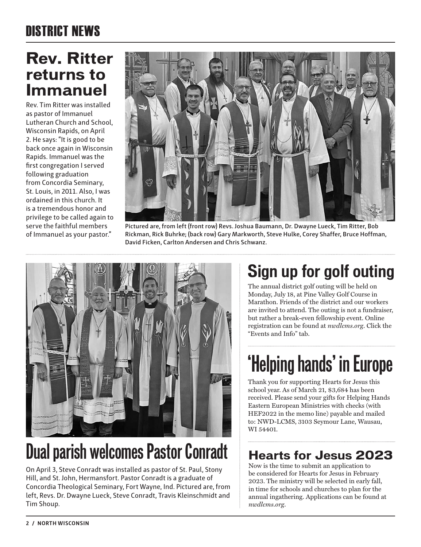#### **Rev. Ritter returns to Immanuel**

Rev. Tim Ritter was installed as pastor of Immanuel Lutheran Church and School, Wisconsin Rapids, on April 2. He says: "It is good to be back once again in Wisconsin Rapids. Immanuel was the first congregation I served following graduation from Concordia Seminary, St. Louis, in 2011. Also, I was ordained in this church. It is a tremendous honor and privilege to be called again to serve the faithful members of Immanuel as your pastor."



**Pictured are, from left (front row) Revs. Joshua Baumann, Dr. Dwayne Lueck, Tim Ritter, Bob Rickman, Rick Buhrke; (back row) Gary Markworth, Steve Hulke, Corey Shaffer, Bruce Hoffman, David Ficken, Carlton Andersen and Chris Schwanz.**



## **Dual parish welcomes Pastor Conradt**

On April 3, Steve Conradt was installed as pastor of St. Paul, Stony Hill, and St. John, Hermansfort. Pastor Conradt is a graduate of Concordia Theological Seminary, Fort Wayne, Ind. Pictured are, from left, Revs. Dr. Dwayne Lueck, Steve Conradt, Travis Kleinschmidt and Tim Shoup.

#### **Sign up for golf outing**

The annual district golf outing will be held on Monday, July 18, at Pine Valley Golf Course in Marathon. Friends of the district and our workers are invited to attend. The outing is not a fundraiser, but rather a break-even fellowship event. Online registration can be found at *nwdlcms.org*. Click the "Events and Info" tab.

# **'Helping hands' in Europe**

Thank you for supporting Hearts for Jesus this school year. As of March 21, \$3,684 has been received. Please send your gifts for Helping Hands Eastern European Ministries with checks (with HEF2022 in the memo line) payable and mailed to: NWD-LCMS, 3103 Seymour Lane, Wausau, WI 54401.

#### **Hearts for Jesus 2023**

Now is the time to submit an application to be considered for Hearts for Jesus in February 2023. The ministry will be selected in early fall, in time for schools and churches to plan for the annual ingathering. Applications can be found at *nwdlcms.org*.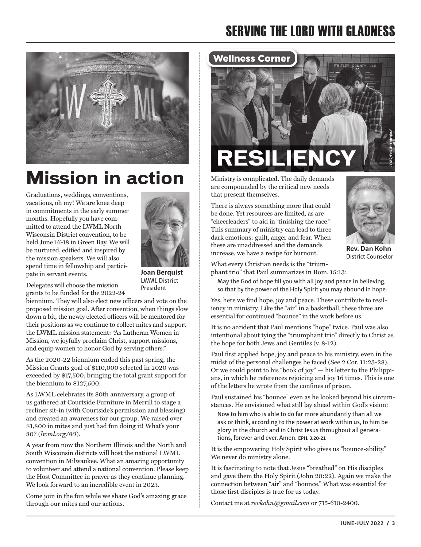#### SERVING THE LORD WITH GLADNESS



### **Mission in action**

Graduations, weddings, conventions, vacations, oh my! We are knee deep in commitments in the early summer months. Hopefully you have committed to attend the LWML North Wisconsin District convention, to be held June 16-18 in Green Bay. We will be nurtured, edified and inspired by the mission speakers. We will also spend time in fellowship and participate in servant events.



LWML District President

Delegates will choose the mission grants to be funded for the 2022-24

biennium. They will also elect new officers and vote on the proposed mission goal. After convention, when things slow down a bit, the newly elected officers will be mentored for their positions as we continue to collect mites and support the LWML mission statement: "As Lutheran Women in Mission, we joyfully proclaim Christ, support missions, and equip women to honor God by serving others."

As the 2020-22 biennium ended this past spring, the Mission Grants goal of \$110,000 selected in 2020 was exceeded by \$17,500, bringing the total grant support for the biennium to \$127,500.

As LWML celebrates its 80th anniversary, a group of us gathered at Courtside Furniture in Merrill to stage a recliner sit-in (with Courtside's permission and blessing) and created an awareness for our group. We raised over \$1,800 in mites and just had fun doing it! What's your 80? (*lwml.org/80*).

A year from now the Northern Illinois and the North and South Wisconsin districts will host the national LWML convention in Milwaukee. What an amazing opportunity to volunteer and attend a national convention. Please keep the Host Committee in prayer as they continue planning. We look forward to an incredible event in 2023.

Come join in the fun while we share God's amazing grace through our mites and our actions.



Ministry is complicated. The daily demands are compounded by the critical new needs that present themselves.

There is always something more that could be done. Yet resources are limited, as are "cheerleaders" to aid in "finishing the race." This summary of ministry can lead to three dark emotions: guilt, anger and fear. When these are unaddressed and the demands increase, we have a recipe for burnout.



**Rev. Dan Kohn**  District Counselor

What every Christian needs is the "triumphant trio" that Paul summarizes in Rom. 15:13:

May the God of hope fill you with all joy and peace in believing, so that by the power of the Holy Spirit you may abound in hope.

Yes, here we find hope, joy and peace. These contribute to resiliency in ministry. Like the "air" in a basketball, these three are essential for continued "bounce" in the work before us.

It is no accident that Paul mentions "hope" twice. Paul was also intentional about tying the "triumphant trio" directly to Christ as the hope for both Jews and Gentiles (v. 8-12).

Paul first applied hope, joy and peace to his ministry, even in the midst of the personal challenges he faced (See 2 Cor. 11:23-28). Or we could point to his "book of joy" — his letter to the Philippians, in which he references rejoicing and joy 16 times. This is one of the letters he wrote from the confines of prison.

Paul sustained his "bounce" even as he looked beyond his circumstances. He envisioned what still lay ahead within God's vision:

Now to him who is able to do far more abundantly than all we ask or think, according to the power at work within us, to him be glory in the church and in Christ Jesus throughout all generations, forever and ever. Amen. **EPH. 3:20-21**

It is the empowering Holy Spirit who gives us "bounce-ability." We never do ministry alone.

It is fascinating to note that Jesus "breathed" on His disciples and gave them the Holy Spirit (John 20:22). Again we make the connection between "air" and "bounce." What was essential for those first disciples is true for us today.

Contact me at *revkohn@gmail.com* or 715-610-2400.